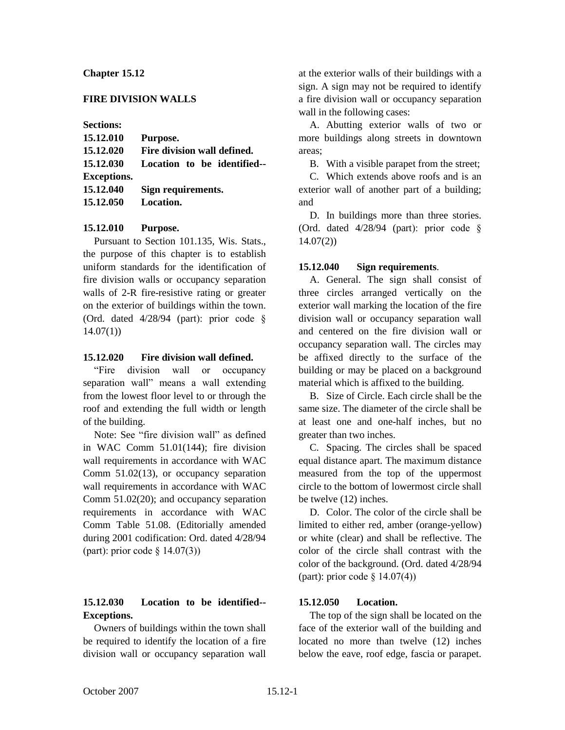# **Chapter 15.12**

# **FIRE DIVISION WALLS**

**Sections:**

| 15.12.010          | Purpose.                    |
|--------------------|-----------------------------|
| 15.12.020          | Fire division wall defined. |
| 15.12.030          | Location to be identified-- |
| <b>Exceptions.</b> |                             |
| 15.12.040          | Sign requirements.          |
| 15.12.050          | Location.                   |

### **15.12.010 Purpose.**

Pursuant to Section 101.135, Wis. Stats., the purpose of this chapter is to establish uniform standards for the identification of fire division walls or occupancy separation walls of 2-R fire-resistive rating or greater on the exterior of buildings within the town. (Ord. dated 4/28/94 (part): prior code §  $14.07(1)$ 

### **15.12.020 Fire division wall defined.**

"Fire division wall or occupancy separation wall" means a wall extending from the lowest floor level to or through the roof and extending the full width or length of the building.

Note: See "fire division wall" as defined in WAC Comm 51.01(144); fire division wall requirements in accordance with WAC Comm 51.02(13), or occupancy separation wall requirements in accordance with WAC Comm 51.02(20); and occupancy separation requirements in accordance with WAC Comm Table 51.08. (Editorially amended during 2001 codification: Ord. dated 4/28/94 (part): prior code § 14.07(3))

# **15.12.030 Location to be identified-- Exceptions.**

Owners of buildings within the town shall be required to identify the location of a fire division wall or occupancy separation wall

at the exterior walls of their buildings with a sign. A sign may not be required to identify a fire division wall or occupancy separation wall in the following cases:

A. Abutting exterior walls of two or more buildings along streets in downtown areas;

B. With a visible parapet from the street;

C. Which extends above roofs and is an exterior wall of another part of a building; and

D. In buildings more than three stories. (Ord. dated 4/28/94 (part): prior code § 14.07(2))

#### **15.12.040 Sign requirements**.

A. General. The sign shall consist of three circles arranged vertically on the exterior wall marking the location of the fire division wall or occupancy separation wall and centered on the fire division wall or occupancy separation wall. The circles may be affixed directly to the surface of the building or may be placed on a background material which is affixed to the building.

B. Size of Circle. Each circle shall be the same size. The diameter of the circle shall be at least one and one-half inches, but no greater than two inches.

C. Spacing. The circles shall be spaced equal distance apart. The maximum distance measured from the top of the uppermost circle to the bottom of lowermost circle shall be twelve (12) inches.

D. Color. The color of the circle shall be limited to either red, amber (orange-yellow) or white (clear) and shall be reflective. The color of the circle shall contrast with the color of the background. (Ord. dated 4/28/94 (part): prior code § 14.07(4))

### **15.12.050 Location.**

The top of the sign shall be located on the face of the exterior wall of the building and located no more than twelve (12) inches below the eave, roof edge, fascia or parapet.